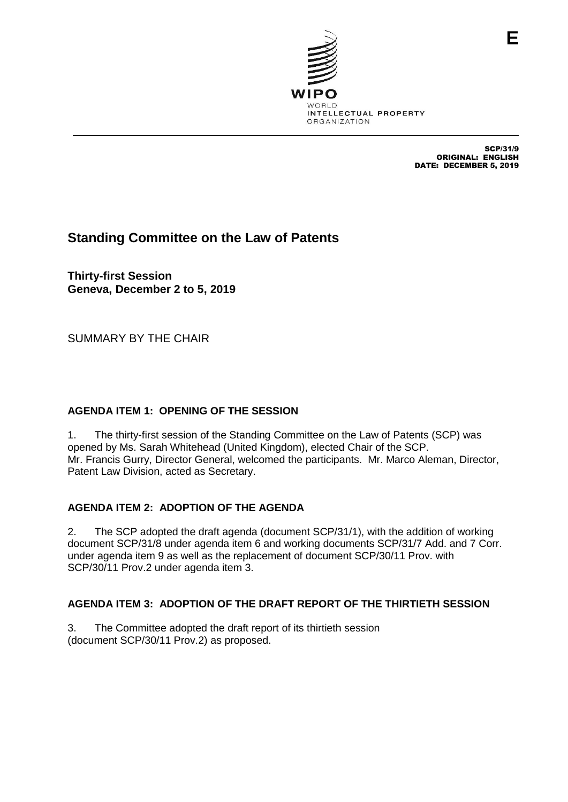

SCP/31/9 ORIGINAL: ENGLISH DATE: DECEMBER 5, 2019

# **Standing Committee on the Law of Patents**

**Thirty-first Session Geneva, December 2 to 5, 2019**

SUMMARY BY THE CHAIR

# **AGENDA ITEM 1: OPENING OF THE SESSION**

1. The thirty-first session of the Standing Committee on the Law of Patents (SCP) was opened by Ms. Sarah Whitehead (United Kingdom), elected Chair of the SCP. Mr. Francis Gurry, Director General, welcomed the participants. Mr. Marco Aleman, Director, Patent Law Division, acted as Secretary.

# **AGENDA ITEM 2: ADOPTION OF THE AGENDA**

2. The SCP adopted the draft agenda (document SCP/31/1), with the addition of working document SCP/31/8 under agenda item 6 and working documents SCP/31/7 Add. and 7 Corr. under agenda item 9 as well as the replacement of document SCP/30/11 Prov. with SCP/30/11 Prov.2 under agenda item 3.

# **AGENDA ITEM 3: ADOPTION OF THE DRAFT REPORT OF THE THIRTIETH SESSION**

3. The Committee adopted the draft report of its thirtieth session (document SCP/30/11 Prov.2) as proposed.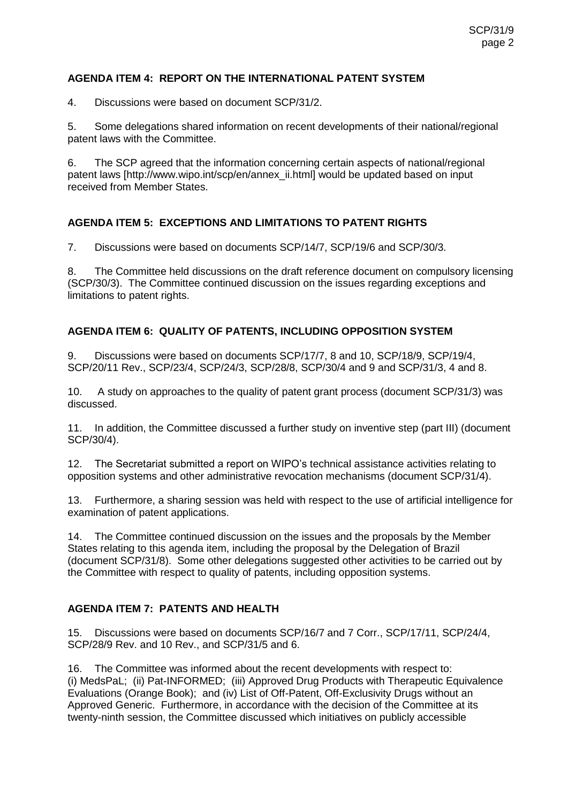### **AGENDA ITEM 4: REPORT ON THE INTERNATIONAL PATENT SYSTEM**

4. Discussions were based on document SCP/31/2.

5. Some delegations shared information on recent developments of their national/regional patent laws with the Committee.

6. The SCP agreed that the information concerning certain aspects of national/regional patent laws [http://www.wipo.int/scp/en/annex\_ii.html] would be updated based on input received from Member States.

# **AGENDA ITEM 5: EXCEPTIONS AND LIMITATIONS TO PATENT RIGHTS**

7. Discussions were based on documents SCP/14/7, SCP/19/6 and SCP/30/3.

8. The Committee held discussions on the draft reference document on compulsory licensing (SCP/30/3). The Committee continued discussion on the issues regarding exceptions and limitations to patent rights.

### **AGENDA ITEM 6: QUALITY OF PATENTS, INCLUDING OPPOSITION SYSTEM**

9. Discussions were based on documents SCP/17/7, 8 and 10, SCP/18/9, SCP/19/4, SCP/20/11 Rev., SCP/23/4, SCP/24/3, SCP/28/8, SCP/30/4 and 9 and SCP/31/3, 4 and 8.

10. A study on approaches to the quality of patent grant process (document SCP/31/3) was discussed.

11. In addition, the Committee discussed a further study on inventive step (part III) (document SCP/30/4).

12. The Secretariat submitted a report on WIPO's technical assistance activities relating to opposition systems and other administrative revocation mechanisms (document SCP/31/4).

13. Furthermore, a sharing session was held with respect to the use of artificial intelligence for examination of patent applications.

14. The Committee continued discussion on the issues and the proposals by the Member States relating to this agenda item, including the proposal by the Delegation of Brazil (document SCP/31/8). Some other delegations suggested other activities to be carried out by the Committee with respect to quality of patents, including opposition systems.

#### **AGENDA ITEM 7: PATENTS AND HEALTH**

15. Discussions were based on documents SCP/16/7 and 7 Corr., SCP/17/11, SCP/24/4, SCP/28/9 Rev. and 10 Rev., and SCP/31/5 and 6.

16. The Committee was informed about the recent developments with respect to: (i) MedsPaL; (ii) Pat-INFORMED; (iii) Approved Drug Products with Therapeutic Equivalence Evaluations (Orange Book); and (iv) List of Off-Patent, Off-Exclusivity Drugs without an Approved Generic. Furthermore, in accordance with the decision of the Committee at its twenty-ninth session, the Committee discussed which initiatives on publicly accessible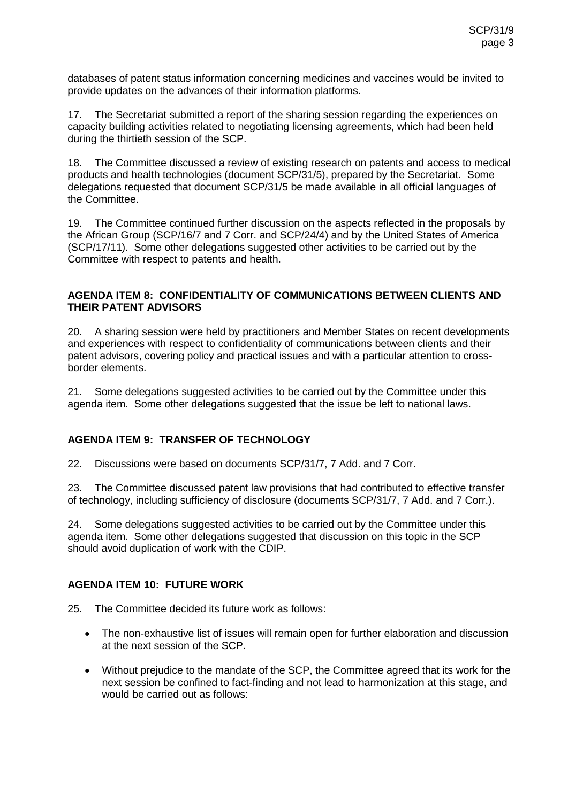databases of patent status information concerning medicines and vaccines would be invited to provide updates on the advances of their information platforms.

17. The Secretariat submitted a report of the sharing session regarding the experiences on capacity building activities related to negotiating licensing agreements, which had been held during the thirtieth session of the SCP.

18. The Committee discussed a review of existing research on patents and access to medical products and health technologies (document SCP/31/5), prepared by the Secretariat. Some delegations requested that document SCP/31/5 be made available in all official languages of the Committee.

19. The Committee continued further discussion on the aspects reflected in the proposals by the African Group (SCP/16/7 and 7 Corr. and SCP/24/4) and by the United States of America (SCP/17/11). Some other delegations suggested other activities to be carried out by the Committee with respect to patents and health.

#### **AGENDA ITEM 8: CONFIDENTIALITY OF COMMUNICATIONS BETWEEN CLIENTS AND THEIR PATENT ADVISORS**

20. A sharing session were held by practitioners and Member States on recent developments and experiences with respect to confidentiality of communications between clients and their patent advisors, covering policy and practical issues and with a particular attention to crossborder elements.

21. Some delegations suggested activities to be carried out by the Committee under this agenda item. Some other delegations suggested that the issue be left to national laws.

# **AGENDA ITEM 9: TRANSFER OF TECHNOLOGY**

22. Discussions were based on documents SCP/31/7, 7 Add. and 7 Corr.

23. The Committee discussed patent law provisions that had contributed to effective transfer of technology, including sufficiency of disclosure (documents SCP/31/7, 7 Add. and 7 Corr.).

24. Some delegations suggested activities to be carried out by the Committee under this agenda item. Some other delegations suggested that discussion on this topic in the SCP should avoid duplication of work with the CDIP.

# **AGENDA ITEM 10: FUTURE WORK**

25. The Committee decided its future work as follows:

- The non-exhaustive list of issues will remain open for further elaboration and discussion at the next session of the SCP.
- Without prejudice to the mandate of the SCP, the Committee agreed that its work for the next session be confined to fact-finding and not lead to harmonization at this stage, and would be carried out as follows: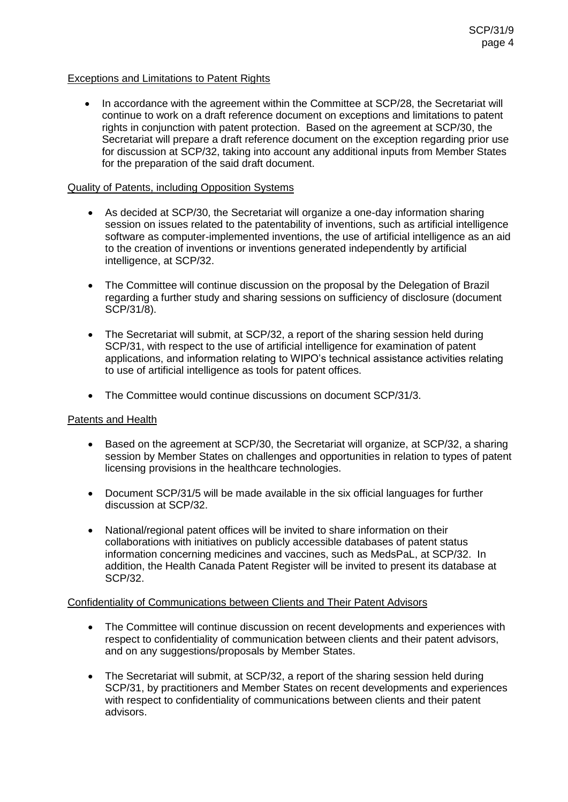### Exceptions and Limitations to Patent Rights

• In accordance with the agreement within the Committee at SCP/28, the Secretariat will continue to work on a draft reference document on exceptions and limitations to patent rights in conjunction with patent protection. Based on the agreement at SCP/30, the Secretariat will prepare a draft reference document on the exception regarding prior use for discussion at SCP/32, taking into account any additional inputs from Member States for the preparation of the said draft document.

#### Quality of Patents, including Opposition Systems

- As decided at SCP/30, the Secretariat will organize a one-day information sharing session on issues related to the patentability of inventions, such as artificial intelligence software as computer-implemented inventions, the use of artificial intelligence as an aid to the creation of inventions or inventions generated independently by artificial intelligence, at SCP/32.
- The Committee will continue discussion on the proposal by the Delegation of Brazil regarding a further study and sharing sessions on sufficiency of disclosure (document SCP/31/8).
- The Secretariat will submit, at SCP/32, a report of the sharing session held during SCP/31, with respect to the use of artificial intelligence for examination of patent applications, and information relating to WIPO's technical assistance activities relating to use of artificial intelligence as tools for patent offices.
- The Committee would continue discussions on document SCP/31/3.

#### Patents and Health

- Based on the agreement at SCP/30, the Secretariat will organize, at SCP/32, a sharing session by Member States on challenges and opportunities in relation to types of patent licensing provisions in the healthcare technologies.
- Document SCP/31/5 will be made available in the six official languages for further discussion at SCP/32.
- National/regional patent offices will be invited to share information on their collaborations with initiatives on publicly accessible databases of patent status information concerning medicines and vaccines, such as MedsPaL, at SCP/32. In addition, the Health Canada Patent Register will be invited to present its database at SCP/32.

#### Confidentiality of Communications between Clients and Their Patent Advisors

- The Committee will continue discussion on recent developments and experiences with respect to confidentiality of communication between clients and their patent advisors, and on any suggestions/proposals by Member States.
- The Secretariat will submit, at SCP/32, a report of the sharing session held during SCP/31, by practitioners and Member States on recent developments and experiences with respect to confidentiality of communications between clients and their patent advisors.